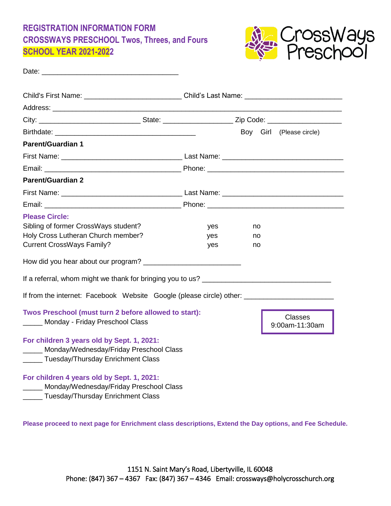## **REGISTRATION INFORMATION FORM CROSSWAYS PRESCHOOL Twos, Threes, and Fours SCHOOL YEAR 2021-2022**



| Date: the contract of the contract of the contract of the contract of the contract of the contract of the contract of the contract of the contract of the contract of the contract of the contract of the contract of the cont     |                   |                |                                  |
|------------------------------------------------------------------------------------------------------------------------------------------------------------------------------------------------------------------------------------|-------------------|----------------|----------------------------------|
| Child's First Name: ______________________________Child's Last Name: _______________________________                                                                                                                               |                   |                |                                  |
|                                                                                                                                                                                                                                    |                   |                |                                  |
|                                                                                                                                                                                                                                    |                   |                |                                  |
|                                                                                                                                                                                                                                    |                   |                | Boy Girl (Please circle)         |
| <b>Parent/Guardian 1</b>                                                                                                                                                                                                           |                   |                |                                  |
|                                                                                                                                                                                                                                    |                   |                |                                  |
|                                                                                                                                                                                                                                    |                   |                |                                  |
| <b>Parent/Guardian 2</b>                                                                                                                                                                                                           |                   |                |                                  |
|                                                                                                                                                                                                                                    |                   |                |                                  |
|                                                                                                                                                                                                                                    |                   |                |                                  |
| <b>Please Circle:</b><br>Sibling of former CrossWays student?<br>Holy Cross Lutheran Church member?<br><b>Current CrossWays Family?</b>                                                                                            | yes<br>yes<br>yes | no<br>no<br>no |                                  |
| Twos Preschool (must turn 2 before allowed to start):<br>Monday - Friday Preschool Class<br>For children 3 years old by Sept. 1, 2021:<br>_____ Monday/Wednesday/Friday Preschool Class<br>_____ Tuesday/Thursday Enrichment Class |                   |                | <b>Classes</b><br>9:00am-11:30am |
| For children 4 years old by Sept. 1, 2021:<br>Monday/Wednesday/Friday Preschool Class<br>Tuesday/Thursday Enrichment Class                                                                                                         |                   |                |                                  |

**Please proceed to next page for Enrichment class descriptions, Extend the Day options, and Fee Schedule.**